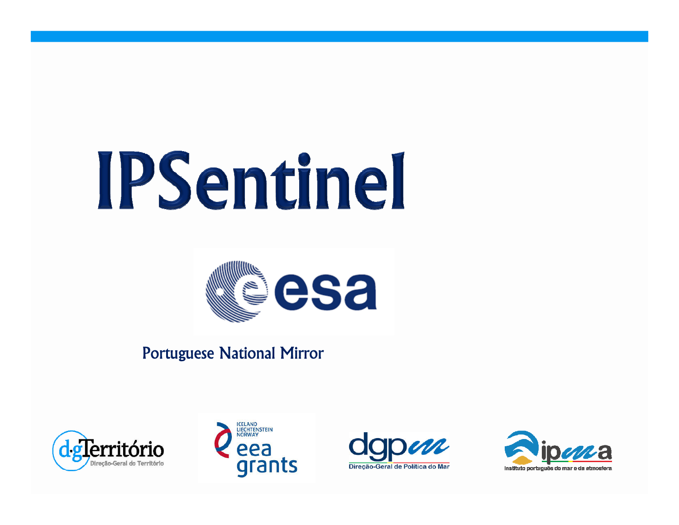# IPSentinel



# Portuguese National Mirror







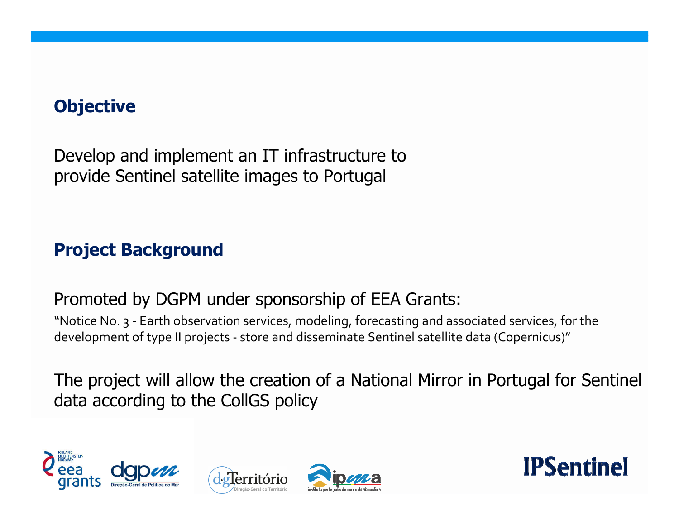# **Objective**

Develop and implement an IT infrastructure to provide Sentinel satellite images to Portugal

### **Project Background**

#### Promoted by DGPM under sponsorship of EEA Grants:

"Notice No. 3 - Earth observation services, modeling, forecasting and associated services, for the development of type II projects - store and disseminate Sentinel satellite data (Copernicus)"

The project will allow the creation of a National Mirror in Portugal for Sentinel data according to the CollGS policy







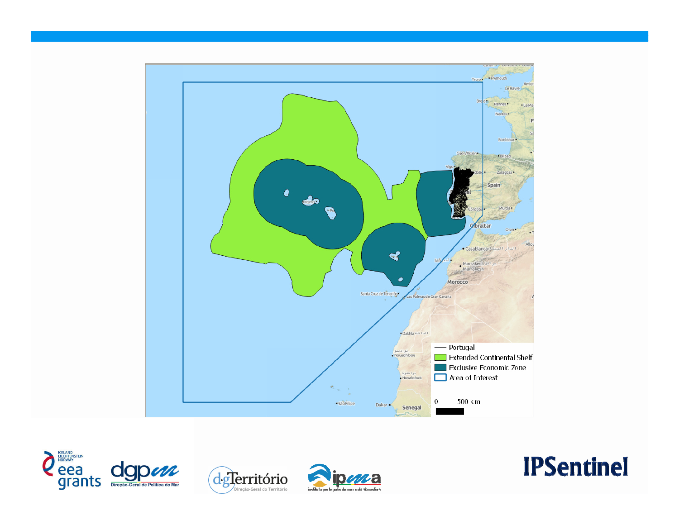







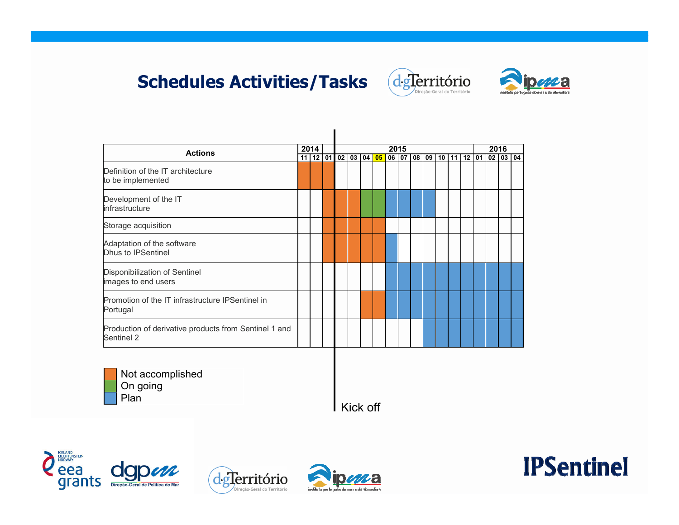# **Schedules Activities/Tasks**





| <b>Actions</b>                                                      |  | 2014           |  |  | 2015<br>02 03 04 05<br>06 07<br> 08 09 |  |  |  |  |  |  |                 |    |  | 2016  |    |    |    |
|---------------------------------------------------------------------|--|----------------|--|--|----------------------------------------|--|--|--|--|--|--|-----------------|----|--|-------|----|----|----|
| Definition of the IT architecture<br>to be implemented              |  | $11$   12   01 |  |  |                                        |  |  |  |  |  |  | 10 <sup>1</sup> | 11 |  | 12 01 | 02 | 03 | 04 |
| Development of the IT<br>infrastructure                             |  |                |  |  |                                        |  |  |  |  |  |  |                 |    |  |       |    |    |    |
| Storage acquisition                                                 |  |                |  |  |                                        |  |  |  |  |  |  |                 |    |  |       |    |    |    |
| Adaptation of the software<br>Dhus to IPSentinel                    |  |                |  |  |                                        |  |  |  |  |  |  |                 |    |  |       |    |    |    |
| Disponibilization of Sentinel<br>images to end users                |  |                |  |  |                                        |  |  |  |  |  |  |                 |    |  |       |    |    |    |
| Promotion of the IT infrastructure IPSentinel in<br>Portugal        |  |                |  |  |                                        |  |  |  |  |  |  |                 |    |  |       |    |    |    |
| Production of derivative products from Sentinel 1 and<br>Sentinel 2 |  |                |  |  |                                        |  |  |  |  |  |  |                 |    |  |       |    |    |    |
| Not accomplished                                                    |  |                |  |  |                                        |  |  |  |  |  |  |                 |    |  |       |    |    |    |



Kick off







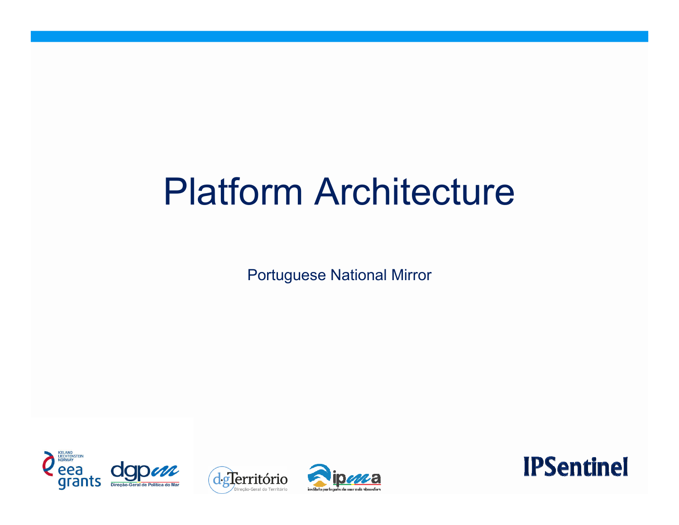# Platform Architecture

Portuguese National Mirror